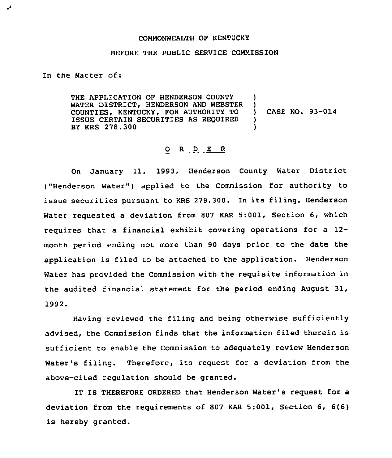## COMMONWEALTH OF KENTUCKY

## BEFORE THE PUBLIC SERVICE COMMISSION

In the Matter of:

.,

THE APPLICATION OF HENDERSON COUNTY WATER DISTRICT, HENDERSON AND WEBSTER COUNTIES, KENTUCKY, FOR AUTHORITY TO ISSUE CERTAIN SECURITIES AS REQUIRED BY KRS 278.300 )  $\left\{ \right\}$ ) CASE NO. 93-014 ) )

## 0 <sup>R</sup> <sup>D</sup> <sup>E</sup> R

On January 11, 1993, Henderson County Water District ("Henderson Water") applied to the Commission for authority to issue securities pursuant to KRS 278.300. In its filing, Henderson Water requested a deviation from 807 KAR 5:001, Section 6, which requires that a financial exhibit covering operations for a 12 month period ending not more than 90 days prior to the date the application is filed to be attached to the application. Henderson Water has provided the Commission with the requisite information in the audited financial statement for the period ending August 31, 1992.

Having reviewed the filing and being otherwise sufficiently advised, the Commission finds that the information filed therein is sufficient to enable the Commission to adequately review Henderson Water's filing. Therefore, its request for a deviation from the above-cited regulation should be granted.

IT IS THEREFORE ORDERED that Henderson Water's request for a deviation from the requirements of 807 KAR 5:001, Section 6, 6(6) is hereby granted.